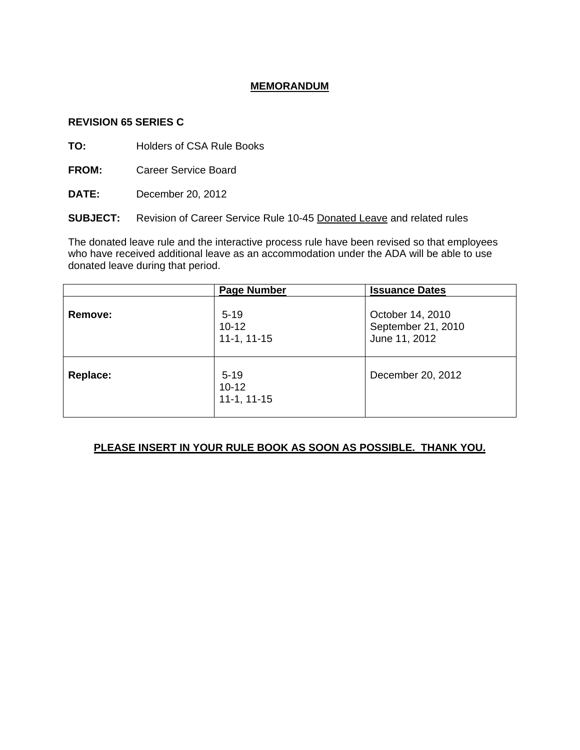## **MEMORANDUM**

### **REVISION 65 SERIES C**

**TO:** Holders of CSA Rule Books

**FROM:** Career Service Board

**DATE:** December 20, 2012

**SUBJECT:** Revision of Career Service Rule 10-45 Donated Leave and related rules

The donated leave rule and the interactive process rule have been revised so that employees who have received additional leave as an accommodation under the ADA will be able to use donated leave during that period.

|          | <b>Page Number</b>                     | <b>Issuance Dates</b>                                   |
|----------|----------------------------------------|---------------------------------------------------------|
| Remove:  | $5 - 19$<br>$10 - 12$<br>$11-1, 11-15$ | October 14, 2010<br>September 21, 2010<br>June 11, 2012 |
| Replace: | $5 - 19$<br>$10 - 12$<br>$11-1, 11-15$ | December 20, 2012                                       |

## **PLEASE INSERT IN YOUR RULE BOOK AS SOON AS POSSIBLE. THANK YOU.**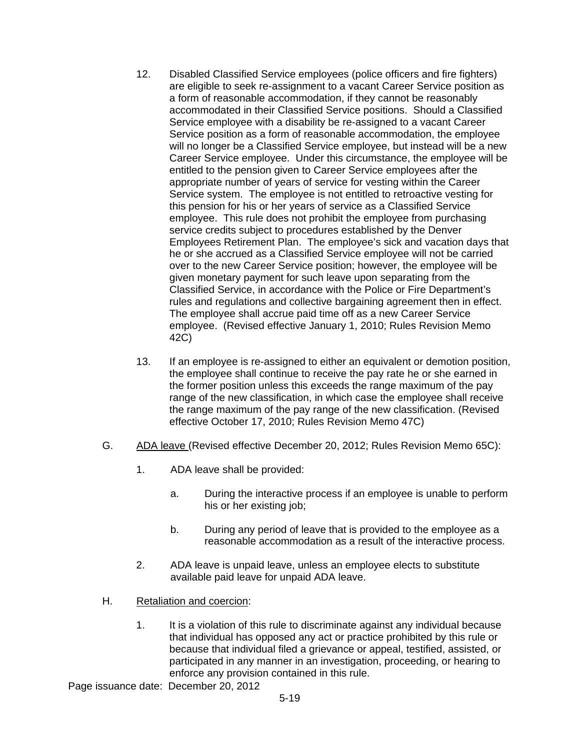- 12. Disabled Classified Service employees (police officers and fire fighters) are eligible to seek re-assignment to a vacant Career Service position as a form of reasonable accommodation, if they cannot be reasonably accommodated in their Classified Service positions. Should a Classified Service employee with a disability be re-assigned to a vacant Career Service position as a form of reasonable accommodation, the employee will no longer be a Classified Service employee, but instead will be a new Career Service employee. Under this circumstance, the employee will be entitled to the pension given to Career Service employees after the appropriate number of years of service for vesting within the Career Service system. The employee is not entitled to retroactive vesting for this pension for his or her years of service as a Classified Service employee. This rule does not prohibit the employee from purchasing service credits subject to procedures established by the Denver Employees Retirement Plan. The employee's sick and vacation days that he or she accrued as a Classified Service employee will not be carried over to the new Career Service position; however, the employee will be given monetary payment for such leave upon separating from the Classified Service, in accordance with the Police or Fire Department's rules and regulations and collective bargaining agreement then in effect. The employee shall accrue paid time off as a new Career Service employee. (Revised effective January 1, 2010; Rules Revision Memo 42C)
- 13. If an employee is re-assigned to either an equivalent or demotion position, the employee shall continue to receive the pay rate he or she earned in the former position unless this exceeds the range maximum of the pay range of the new classification, in which case the employee shall receive the range maximum of the pay range of the new classification. (Revised effective October 17, 2010; Rules Revision Memo 47C)
- G. ADA leave (Revised effective December 20, 2012; Rules Revision Memo 65C):
	- 1. ADA leave shall be provided:
		- a. During the interactive process if an employee is unable to perform his or her existing job;
		- b. During any period of leave that is provided to the employee as a reasonable accommodation as a result of the interactive process.
	- 2. ADA leave is unpaid leave, unless an employee elects to substitute available paid leave for unpaid ADA leave.
- H. Retaliation and coercion:
	- 1. It is a violation of this rule to discriminate against any individual because that individual has opposed any act or practice prohibited by this rule or because that individual filed a grievance or appeal, testified, assisted, or participated in any manner in an investigation, proceeding, or hearing to enforce any provision contained in this rule.
- Page issuance date: December 20, 2012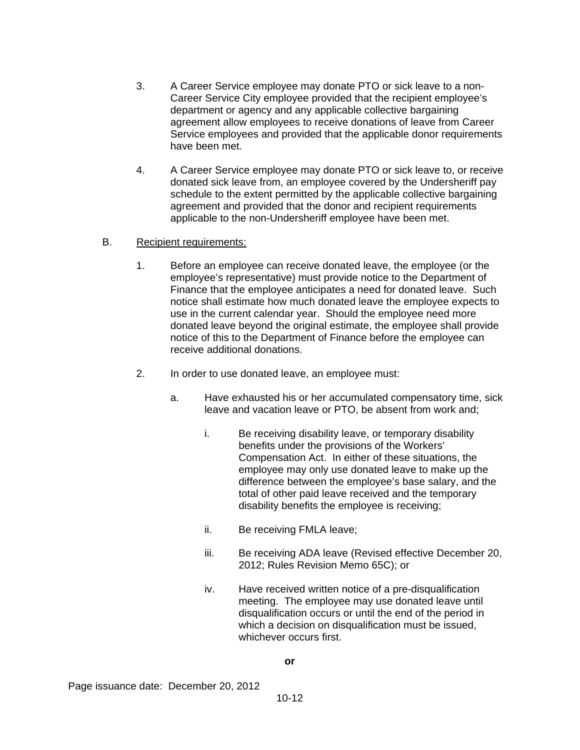- 3. A Career Service employee may donate PTO or sick leave to a non-Career Service City employee provided that the recipient employee's department or agency and any applicable collective bargaining agreement allow employees to receive donations of leave from Career Service employees and provided that the applicable donor requirements have been met.
- 4. A Career Service employee may donate PTO or sick leave to, or receive donated sick leave from, an employee covered by the Undersheriff pay schedule to the extent permitted by the applicable collective bargaining agreement and provided that the donor and recipient requirements applicable to the non-Undersheriff employee have been met.

## B. Recipient requirements:

- 1. Before an employee can receive donated leave, the employee (or the employee's representative) must provide notice to the Department of Finance that the employee anticipates a need for donated leave. Such notice shall estimate how much donated leave the employee expects to use in the current calendar year. Should the employee need more donated leave beyond the original estimate, the employee shall provide notice of this to the Department of Finance before the employee can receive additional donations.
- 2. In order to use donated leave, an employee must:
	- a. Have exhausted his or her accumulated compensatory time, sick leave and vacation leave or PTO, be absent from work and;
		- i. Be receiving disability leave, or temporary disability benefits under the provisions of the Workers' Compensation Act. In either of these situations, the employee may only use donated leave to make up the difference between the employee's base salary, and the total of other paid leave received and the temporary disability benefits the employee is receiving;
		- ii. Be receiving FMLA leave;
		- iii. Be receiving ADA leave (Revised effective December 20, 2012; Rules Revision Memo 65C); or
		- iv. Have received written notice of a pre-disqualification meeting. The employee may use donated leave until disqualification occurs or until the end of the period in which a decision on disqualification must be issued, whichever occurs first.

#### **or**

Page issuance date: December 20, 2012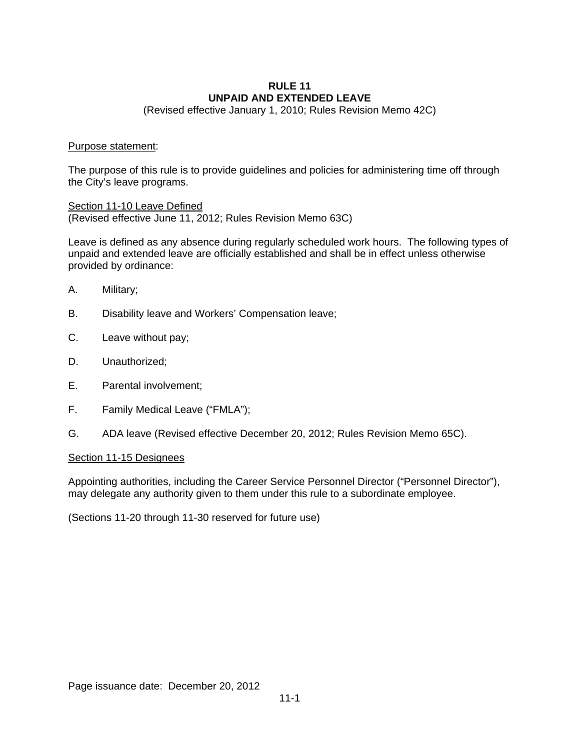#### **RULE 11 UNPAID AND EXTENDED LEAVE**

(Revised effective January 1, 2010; Rules Revision Memo 42C)

#### Purpose statement:

The purpose of this rule is to provide guidelines and policies for administering time off through the City's leave programs.

Section 11-10 Leave Defined (Revised effective June 11, 2012; Rules Revision Memo 63C)

Leave is defined as any absence during regularly scheduled work hours. The following types of unpaid and extended leave are officially established and shall be in effect unless otherwise provided by ordinance:

- A. Military;
- B. Disability leave and Workers' Compensation leave;
- C. Leave without pay;
- D. Unauthorized;
- E. Parental involvement;
- F. Family Medical Leave ("FMLA");
- G. ADA leave (Revised effective December 20, 2012; Rules Revision Memo 65C).

#### Section 11-15 Designees

Appointing authorities, including the Career Service Personnel Director ("Personnel Director"), may delegate any authority given to them under this rule to a subordinate employee.

(Sections 11-20 through 11-30 reserved for future use)